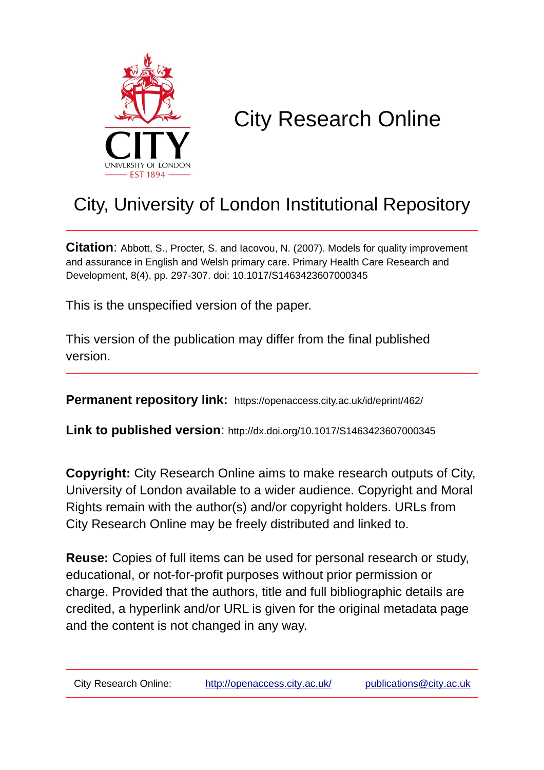

# City Research Online

## City, University of London Institutional Repository

**Citation**: Abbott, S., Procter, S. and Iacovou, N. (2007). Models for quality improvement and assurance in English and Welsh primary care. Primary Health Care Research and Development, 8(4), pp. 297-307. doi: 10.1017/S1463423607000345

This is the unspecified version of the paper.

This version of the publication may differ from the final published version.

**Permanent repository link:** https://openaccess.city.ac.uk/id/eprint/462/

**Link to published version**: http://dx.doi.org/10.1017/S1463423607000345

**Copyright:** City Research Online aims to make research outputs of City, University of London available to a wider audience. Copyright and Moral Rights remain with the author(s) and/or copyright holders. URLs from City Research Online may be freely distributed and linked to.

**Reuse:** Copies of full items can be used for personal research or study, educational, or not-for-profit purposes without prior permission or charge. Provided that the authors, title and full bibliographic details are credited, a hyperlink and/or URL is given for the original metadata page and the content is not changed in any way.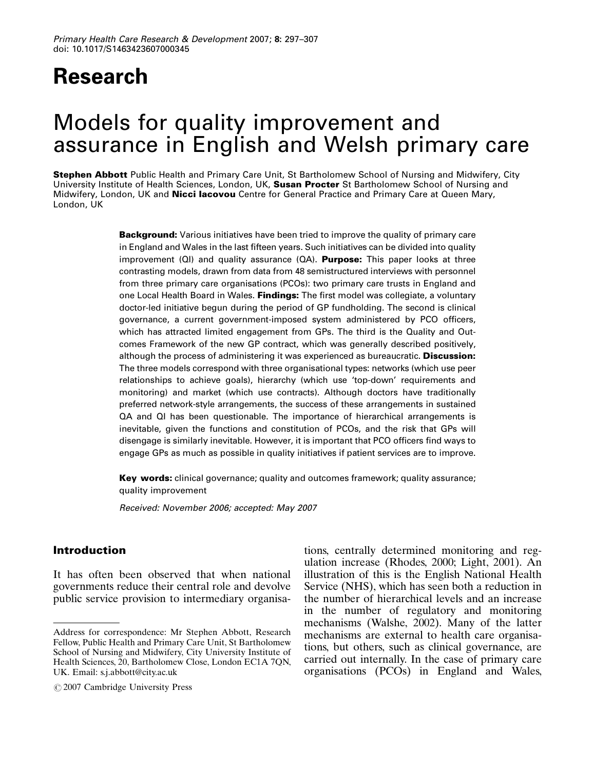## **Research**

### Models for quality improvement and assurance in English and Welsh primary care

Stephen Abbott Public Health and Primary Care Unit, St Bartholomew School of Nursing and Midwifery, City University Institute of Health Sciences, London, UK, Susan Procter St Bartholomew School of Nursing and Midwifery, London, UK and Nicci lacovou Centre for General Practice and Primary Care at Queen Mary, London, UK

> **Background:** Various initiatives have been tried to improve the quality of primary care in England and Wales in the last fifteen years. Such initiatives can be divided into quality improvement  $\langle \Omega | \rangle$  and quality assurance  $\langle \Omega A \rangle$ . Purpose: This paper looks at three contrasting models, drawn from data from 48 semistructured interviews with personnel from three primary care organisations (PCOs): two primary care trusts in England and one Local Health Board in Wales. Findings: The first model was collegiate, a voluntary doctor-led initiative begun during the period of GP fundholding. The second is clinical governance, a current government-imposed system administered by PCO officers, which has attracted limited engagement from GPs. The third is the Quality and Outcomes Framework of the new GP contract, which was generally described positively, although the process of administering it was experienced as bureaucratic. **Discussion:** The three models correspond with three organisational types: networks (which use peer relationships to achieve goals), hierarchy (which use 'top-down' requirements and monitoring) and market (which use contracts). Although doctors have traditionally preferred network-style arrangements, the success of these arrangements in sustained QA and QI has been questionable. The importance of hierarchical arrangements is inevitable, given the functions and constitution of PCOs, and the risk that GPs will disengage is similarly inevitable. However, it is important that PCO officers find ways to engage GPs as much as possible in quality initiatives if patient services are to improve.

> **Key words:** clinical governance; quality and outcomes framework; quality assurance; quality improvement

*Received: November 2006; accepted: May 2007*

#### Introduction

It has often been observed that when national governments reduce their central role and devolve public service provision to intermediary organisa-

 $\circ$ 2007 Cambridge University Press

tions, centrally determined monitoring and regulation increase (Rhodes, 2000; Light, 2001). An illustration of this is the English National Health Service (NHS), which has seen both a reduction in the number of hierarchical levels and an increase in the number of regulatory and monitoring mechanisms (Walshe, 2002). Many of the latter mechanisms are external to health care organisations, but others, such as clinical governance, are carried out internally. In the case of primary care organisations (PCOs) in England and Wales,

Address for correspondence: Mr Stephen Abbott, Research Fellow, Public Health and Primary Care Unit, St Bartholomew School of Nursing and Midwifery, City University Institute of Health Sciences, 20, Bartholomew Close, London EC1A 7QN, UK. Email: s.j.abbott@city.ac.uk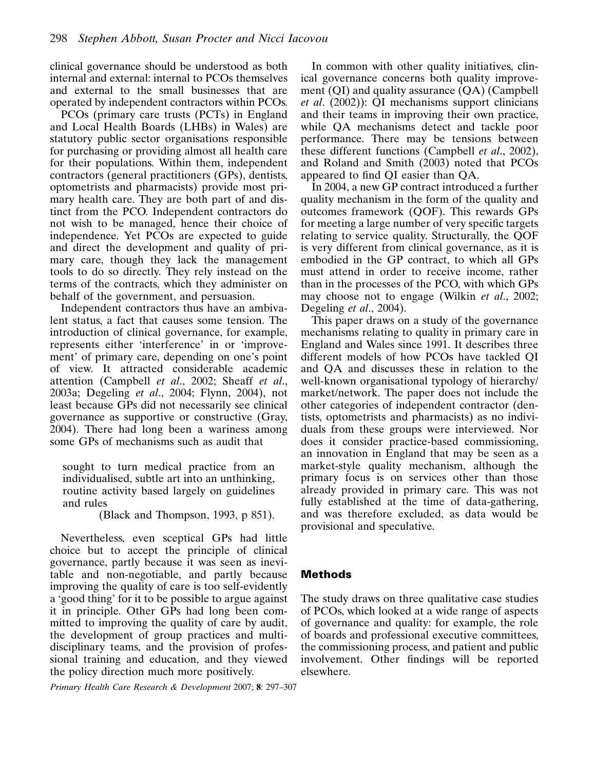clinical governance should be understood as both internal and external: internal to PCOs themselves and external to the small businesses that are operated by independent contractors within PCOs.

PCOs (primary care trusts (PCTs) in England and Local Health Boards (LHBs) in Wales) are statutory public sector organisations responsible for purchasing or providing almost all health care for their populations. Within them, independent contractors (general practitioners (GPs), dentists, optometrists and pharmacists) provide most primary health care. They are both part of and distinct from the PCO. Independent contractors do not wish to be managed, hence their choice of independence. Yet PCOs are expected to guide and direct the development and quality of primary care, though they lack the management tools to do so directly. They rely instead on the terms of the contracts, which they administer on behalf of the government, and persuasion.

Independent contractors thus have an ambivalent status, a fact that causes some tension. The introduction of clinical governance, for example, represents either 'interference' in or 'improvement' of primary care, depending on one's point of view. It attracted considerable academic attention (Campbell et al., 2002; Sheaff et al., 2003a; Degeling et al., 2004; Flynn, 2004), not least because GPs did not necessarily see clinical governance as supportive or constructive (Gray, 2004). There had long been a wariness among some GPs of mechanisms such as audit that

sought to turn medical practice from an individualised, subtle art into an unthinking, routine activity based largely on guidelines and rules

(Black and Thompson, 1993, p 851).

Nevertheless, even sceptical GPs had little choice but to accept the principle of clinical governance, partly because it was seen as inevitable and non-negotiable, and partly because improving the quality of care is too self-evidently a 'good thing' for it to be possible to argue against it in principle. Other GPs had long been committed to improving the quality of care by audit, the development of group practices and multidisciplinary teams, and the provision of professional training and education, and they viewed the policy direction much more positively.

Primary Health Care Research & Development 2007; 8: 297–307

In common with other quality initiatives, clinical governance concerns both quality improvement (QI) and quality assurance (QA) (Campbell et al. (2002)): QI mechanisms support clinicians and their teams in improving their own practice, while QA mechanisms detect and tackle poor performance. There may be tensions between these different functions (Campbell *et al.*, 2002), and Roland and Smith (2003) noted that PCOs appeared to find QI easier than QA.

In 2004, a new GP contract introduced a further quality mechanism in the form of the quality and outcomes framework (QOF). This rewards GPs for meeting a large number of very specific targets relating to service quality. Structurally, the QOF is very different from clinical governance, as it is embodied in the GP contract, to which all GPs must attend in order to receive income, rather than in the processes of the PCO, with which GPs may choose not to engage (Wilkin *et al.*, 2002; Degeling *et al.*, 2004).

This paper draws on a study of the governance mechanisms relating to quality in primary care in England and Wales since 1991. It describes three different models of how PCOs have tackled QI and QA and discusses these in relation to the well-known organisational typology of hierarchy/ market/network. The paper does not include the other categories of independent contractor (dentists, optometrists and pharmacists) as no individuals from these groups were interviewed. Nor does it consider practice-based commissioning, an innovation in England that may be seen as a market-style quality mechanism, although the primary focus is on services other than those already provided in primary care. This was not fully established at the time of data-gathering, and was therefore excluded, as data would be provisional and speculative.

#### Methods

The study draws on three qualitative case studies of PCOs, which looked at a wide range of aspects of governance and quality: for example, the role of boards and professional executive committees, the commissioning process, and patient and public involvement. Other findings will be reported elsewhere.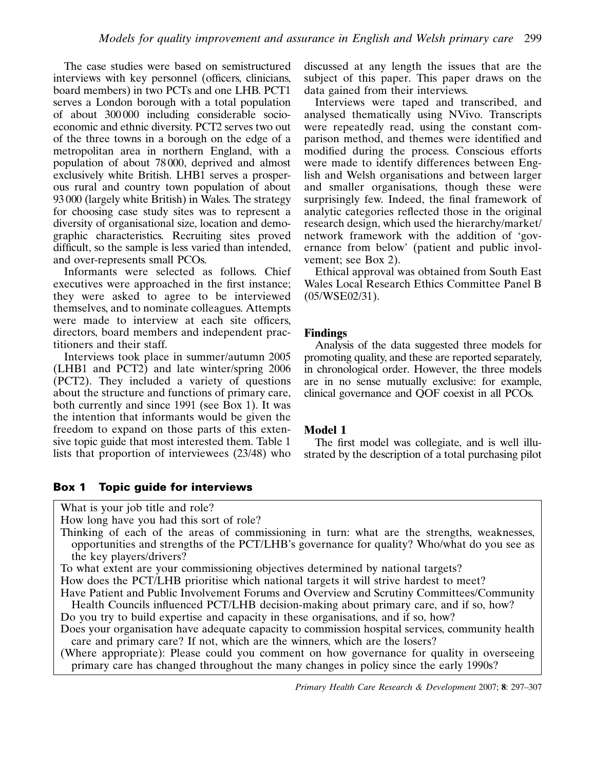The case studies were based on semistructured interviews with key personnel (officers, clinicians, board members) in two PCTs and one LHB. PCT1 serves a London borough with a total population of about 300 000 including considerable socioeconomic and ethnic diversity. PCT2 serves two out of the three towns in a borough on the edge of a metropolitan area in northern England, with a population of about 78 000, deprived and almost exclusively white British. LHB1 serves a prosperous rural and country town population of about 93 000 (largely white British) in Wales. The strategy for choosing case study sites was to represent a diversity of organisational size, location and demographic characteristics. Recruiting sites proved difficult, so the sample is less varied than intended, and over-represents small PCOs.

Informants were selected as follows. Chief executives were approached in the first instance; they were asked to agree to be interviewed themselves, and to nominate colleagues. Attempts were made to interview at each site officers, directors, board members and independent practitioners and their staff.

Interviews took place in summer/autumn 2005 (LHB1 and PCT2) and late winter/spring 2006 (PCT2). They included a variety of questions about the structure and functions of primary care, both currently and since 1991 (see Box 1). It was the intention that informants would be given the freedom to expand on those parts of this extensive topic guide that most interested them. Table 1 lists that proportion of interviewees (23/48) who

#### Box 1 Topic guide for interviews

What is your job title and role?

How long have you had this sort of role?

Thinking of each of the areas of commissioning in turn: what are the strengths, weaknesses, opportunities and strengths of the PCT/LHB's governance for quality? Who/what do you see as the key players/drivers?

To what extent are your commissioning objectives determined by national targets?

How does the PCT/LHB prioritise which national targets it will strive hardest to meet?

Have Patient and Public Involvement Forums and Overview and Scrutiny Committees/Community Health Councils influenced PCT/LHB decision-making about primary care, and if so, how?

Do you try to build expertise and capacity in these organisations, and if so, how? Does your organisation have adequate capacity to commission hospital services, community health

care and primary care? If not, which are the winners, which are the losers?

(Where appropriate): Please could you comment on how governance for quality in overseeing primary care has changed throughout the many changes in policy since the early 1990s?

Primary Health Care Research & Development 2007; 8: 297–307

discussed at any length the issues that are the subject of this paper. This paper draws on the data gained from their interviews.

Interviews were taped and transcribed, and analysed thematically using NVivo. Transcripts were repeatedly read, using the constant comparison method, and themes were identified and modified during the process. Conscious efforts were made to identify differences between English and Welsh organisations and between larger and smaller organisations, though these were surprisingly few. Indeed, the final framework of analytic categories reflected those in the original research design, which used the hierarchy/market/ network framework with the addition of 'governance from below' (patient and public involvement; see Box 2).

Ethical approval was obtained from South East Wales Local Research Ethics Committee Panel B (05/WSE02/31).

#### Findings

Analysis of the data suggested three models for promoting quality, and these are reported separately, in chronological order. However, the three models are in no sense mutually exclusive: for example, clinical governance and QOF coexist in all PCOs.

#### Model 1

The first model was collegiate, and is well illustrated by the description of a total purchasing pilot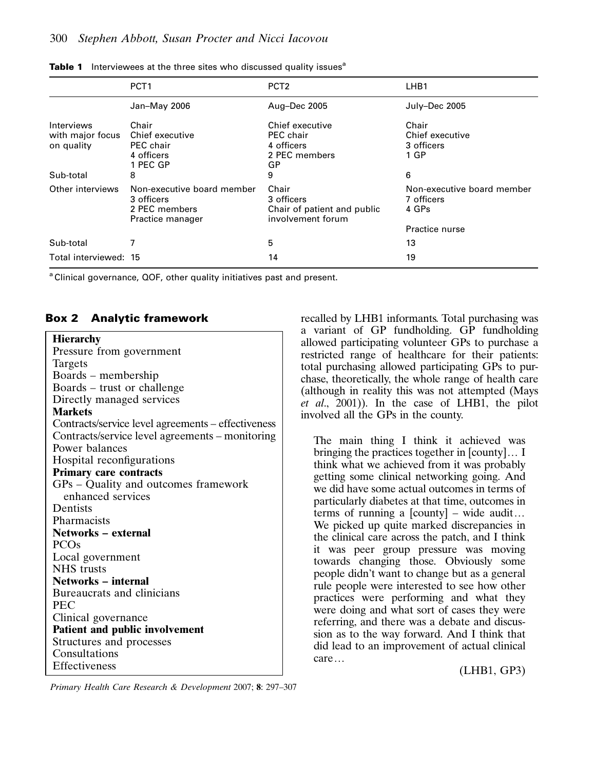|                                              | PCT <sub>1</sub>                                                              | PCT <sub>2</sub>                                                        | LHB1                                              |
|----------------------------------------------|-------------------------------------------------------------------------------|-------------------------------------------------------------------------|---------------------------------------------------|
|                                              | Jan-May 2006                                                                  | Aug-Dec 2005                                                            | July-Dec 2005                                     |
| Interviews<br>with major focus<br>on quality | Chair<br>Chief executive<br>PEC chair<br>4 officers<br>1 PEC GP               | Chief executive<br>PEC chair<br>4 officers<br>2 PEC members<br>GP       | Chair<br>Chief executive<br>3 officers<br>1 GP    |
| Sub-total                                    | 8                                                                             | 9                                                                       | 6                                                 |
| Other interviews                             | Non-executive board member<br>3 officers<br>2 PEC members<br>Practice manager | Chair<br>3 officers<br>Chair of patient and public<br>involvement forum | Non-executive board member<br>7 officers<br>4 GPs |
|                                              |                                                                               |                                                                         | Practice nurse                                    |
| Sub-total                                    |                                                                               | 5                                                                       | 13                                                |
| Total interviewed: 15                        |                                                                               | 14                                                                      | 19                                                |

|  | <b>Table 1</b> Interviewees at the three sites who discussed quality issues <sup>a</sup> |  |  |  |  |  |
|--|------------------------------------------------------------------------------------------|--|--|--|--|--|
|--|------------------------------------------------------------------------------------------|--|--|--|--|--|

<sup>a</sup> Clinical governance, QOF, other quality initiatives past and present.

#### Box 2 Analytic framework

recalled by LHB1 informants. Total purchasing was a variant of GP fundholding. GP fundholding allowed participating volunteer GPs to purchase a restricted range of healthcare for their patients: total purchasing allowed participating GPs to purchase, theoretically, the whole range of health care (although in reality this was not attempted (Mays et al., 2001)). In the case of LHB1, the pilot involved all the GPs in the county.

The main thing I think it achieved was bringing the practices together in  $[countv] \dots I$ think what we achieved from it was probably getting some clinical networking going. And we did have some actual outcomes in terms of particularly diabetes at that time, outcomes in terms of running a  $[$ county $]$  – wide audit... We picked up quite marked discrepancies in the clinical care across the patch, and I think it was peer group pressure was moving towards changing those. Obviously some people didn't want to change but as a general rule people were interested to see how other practices were performing and what they were doing and what sort of cases they were referring, and there was a debate and discussion as to the way forward. And I think that did lead to an improvement of actual clinical care...

(LHB1, GP3)

Primary Health Care Research & Development 2007; 8: 297–307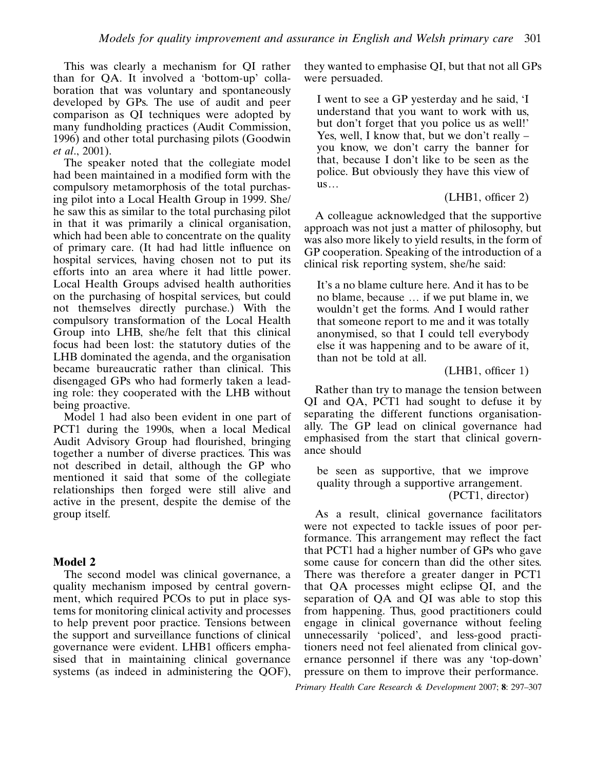This was clearly a mechanism for QI rather than for QA. It involved a 'bottom-up' collaboration that was voluntary and spontaneously developed by GPs. The use of audit and peer comparison as QI techniques were adopted by many fundholding practices (Audit Commission, 1996) and other total purchasing pilots (Goodwin et al., 2001).

The speaker noted that the collegiate model had been maintained in a modified form with the compulsory metamorphosis of the total purchasing pilot into a Local Health Group in 1999. She/ he saw this as similar to the total purchasing pilot in that it was primarily a clinical organisation, which had been able to concentrate on the quality of primary care. (It had had little influence on hospital services, having chosen not to put its efforts into an area where it had little power. Local Health Groups advised health authorities on the purchasing of hospital services, but could not themselves directly purchase.) With the compulsory transformation of the Local Health Group into LHB, she/he felt that this clinical focus had been lost: the statutory duties of the LHB dominated the agenda, and the organisation became bureaucratic rather than clinical. This disengaged GPs who had formerly taken a leading role: they cooperated with the LHB without being proactive.

Model 1 had also been evident in one part of PCT1 during the 1990s, when a local Medical Audit Advisory Group had flourished, bringing together a number of diverse practices. This was not described in detail, although the GP who mentioned it said that some of the collegiate relationships then forged were still alive and active in the present, despite the demise of the group itself.

#### Model 2

The second model was clinical governance, a quality mechanism imposed by central government, which required PCOs to put in place systems for monitoring clinical activity and processes to help prevent poor practice. Tensions between the support and surveillance functions of clinical governance were evident. LHB1 officers emphasised that in maintaining clinical governance systems (as indeed in administering the OOF). they wanted to emphasise QI, but that not all GPs were persuaded.

I went to see a GP yesterday and he said, 'I understand that you want to work with us, but don't forget that you police us as well!' Yes, well, I know that, but we don't really – you know, we don't carry the banner for that, because I don't like to be seen as the police. But obviously they have this view of  $us...$ 

#### (LHB1, officer 2)

A colleague acknowledged that the supportive approach was not just a matter of philosophy, but was also more likely to yield results, in the form of GP cooperation. Speaking of the introduction of a clinical risk reporting system, she/he said:

It's a no blame culture here. And it has to be no blame, because  $\ldots$  if we put blame in, we wouldn't get the forms. And I would rather that someone report to me and it was totally anonymised, so that I could tell everybody else it was happening and to be aware of it, than not be told at all.

#### (LHB1, officer 1)

Rather than try to manage the tension between QI and QA, PCT1 had sought to defuse it by separating the different functions organisationally. The GP lead on clinical governance had emphasised from the start that clinical governance should

be seen as supportive, that we improve quality through a supportive arrangement. (PCT1, director)

As a result, clinical governance facilitators were not expected to tackle issues of poor performance. This arrangement may reflect the fact that PCT1 had a higher number of GPs who gave some cause for concern than did the other sites. There was therefore a greater danger in PCT1 that QA processes might eclipse QI, and the separation of QA and QI was able to stop this from happening. Thus, good practitioners could engage in clinical governance without feeling unnecessarily 'policed', and less-good practitioners need not feel alienated from clinical governance personnel if there was any 'top-down' pressure on them to improve their performance.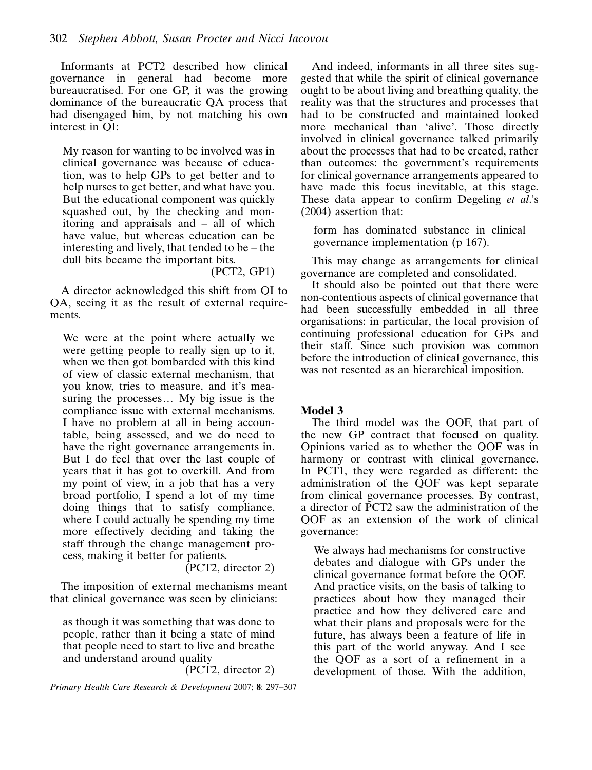Informants at PCT2 described how clinical governance in general had become more bureaucratised. For one GP, it was the growing dominance of the bureaucratic QA process that had disengaged him, by not matching his own interest in QI:

My reason for wanting to be involved was in clinical governance was because of education, was to help GPs to get better and to help nurses to get better, and what have you. But the educational component was quickly squashed out, by the checking and monitoring and appraisals and – all of which have value, but whereas education can be interesting and lively, that tended to be – the dull bits became the important bits.

(PCT2, GP1)

A director acknowledged this shift from QI to QA, seeing it as the result of external requirements.

We were at the point where actually we were getting people to really sign up to it, when we then got bombarded with this kind of view of classic external mechanism, that you know, tries to measure, and it's measuring the processes... My big issue is the compliance issue with external mechanisms. I have no problem at all in being accountable, being assessed, and we do need to have the right governance arrangements in. But I do feel that over the last couple of years that it has got to overkill. And from my point of view, in a job that has a very broad portfolio, I spend a lot of my time doing things that to satisfy compliance, where I could actually be spending my time more effectively deciding and taking the staff through the change management process, making it better for patients.

(PCT2, director 2)

The imposition of external mechanisms meant that clinical governance was seen by clinicians:

as though it was something that was done to people, rather than it being a state of mind that people need to start to live and breathe and understand around quality

(PCT2, director 2)

Primary Health Care Research & Development 2007; 8: 297–307

And indeed, informants in all three sites suggested that while the spirit of clinical governance ought to be about living and breathing quality, the reality was that the structures and processes that had to be constructed and maintained looked more mechanical than 'alive'. Those directly involved in clinical governance talked primarily about the processes that had to be created, rather than outcomes: the government's requirements for clinical governance arrangements appeared to have made this focus inevitable, at this stage. These data appear to confirm Degeling et al.'s (2004) assertion that:

form has dominated substance in clinical governance implementation (p 167).

This may change as arrangements for clinical governance are completed and consolidated.

It should also be pointed out that there were non-contentious aspects of clinical governance that had been successfully embedded in all three organisations: in particular, the local provision of continuing professional education for GPs and their staff. Since such provision was common before the introduction of clinical governance, this was not resented as an hierarchical imposition.

#### Model 3

The third model was the QOF, that part of the new GP contract that focused on quality. Opinions varied as to whether the QOF was in harmony or contrast with clinical governance. In PCT1, they were regarded as different: the administration of the QOF was kept separate from clinical governance processes. By contrast, a director of PCT2 saw the administration of the QOF as an extension of the work of clinical governance:

We always had mechanisms for constructive debates and dialogue with GPs under the clinical governance format before the QOF. And practice visits, on the basis of talking to practices about how they managed their practice and how they delivered care and what their plans and proposals were for the future, has always been a feature of life in this part of the world anyway. And I see the QOF as a sort of a refinement in a development of those. With the addition,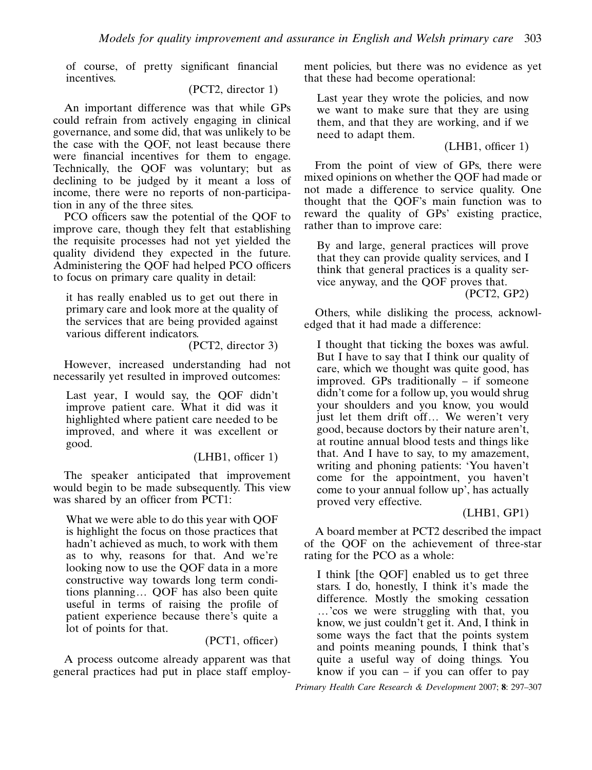of course, of pretty significant financial incentives.

(PCT2, director 1)

An important difference was that while GPs could refrain from actively engaging in clinical governance, and some did, that was unlikely to be the case with the QOF, not least because there were financial incentives for them to engage. Technically, the QOF was voluntary; but as declining to be judged by it meant a loss of income, there were no reports of non-participation in any of the three sites.

PCO officers saw the potential of the QOF to improve care, though they felt that establishing the requisite processes had not yet yielded the quality dividend they expected in the future. Administering the QOF had helped PCO officers to focus on primary care quality in detail:

it has really enabled us to get out there in primary care and look more at the quality of the services that are being provided against various different indicators.

(PCT2, director 3)

However, increased understanding had not necessarily yet resulted in improved outcomes:

Last year, I would say, the QOF didn't improve patient care. What it did was it highlighted where patient care needed to be improved, and where it was excellent or good.

(LHB1, officer 1)

The speaker anticipated that improvement would begin to be made subsequently. This view was shared by an officer from PCT1:

What we were able to do this year with QOF is highlight the focus on those practices that hadn't achieved as much, to work with them as to why, reasons for that. And we're looking now to use the QOF data in a more constructive way towards long term conditions planning... QOF has also been quite useful in terms of raising the profile of patient experience because there's quite a lot of points for that.

(PCT1, officer)

A process outcome already apparent was that general practices had put in place staff employment policies, but there was no evidence as yet that these had become operational:

Last year they wrote the policies, and now we want to make sure that they are using them, and that they are working, and if we need to adapt them.

(LHB1, officer 1)

From the point of view of GPs, there were mixed opinions on whether the QOF had made or not made a difference to service quality. One thought that the QOF's main function was to reward the quality of GPs' existing practice, rather than to improve care:

By and large, general practices will prove that they can provide quality services, and I think that general practices is a quality service anyway, and the QOF proves that. (PCT2, GP2)

Others, while disliking the process, acknowledged that it had made a difference:

I thought that ticking the boxes was awful. But I have to say that I think our quality of care, which we thought was quite good, has improved. GPs traditionally – if someone didn't come for a follow up, you would shrug your shoulders and you know, you would just let them drift off... We weren't very good, because doctors by their nature aren't, at routine annual blood tests and things like that. And I have to say, to my amazement, writing and phoning patients: 'You haven't come for the appointment, you haven't come to your annual follow up', has actually proved very effective.

#### (LHB1, GP1)

A board member at PCT2 described the impact of the QOF on the achievement of three-star rating for the PCO as a whole:

I think [the QOF] enabled us to get three stars. I do, honestly, I think it's made the difference. Mostly the smoking cessation ...'cos we were struggling with that, you know, we just couldn't get it. And, I think in some ways the fact that the points system and points meaning pounds, I think that's quite a useful way of doing things. You know if you can  $-$  if you can offer to pay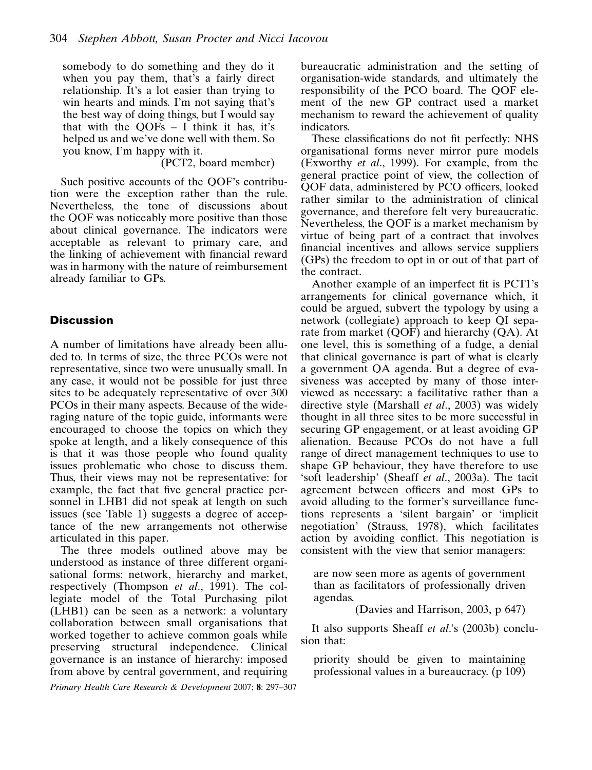somebody to do something and they do it when you pay them, that's a fairly direct relationship. It's a lot easier than trying to win hearts and minds. I'm not saying that's the best way of doing things, but I would say that with the  $OOFs - I$  think it has, it's helped us and we've done well with them. So you know, I'm happy with it.

(PCT2, board member)

Such positive accounts of the QOF's contribution were the exception rather than the rule. Nevertheless, the tone of discussions about the QOF was noticeably more positive than those about clinical governance. The indicators were acceptable as relevant to primary care, and the linking of achievement with financial reward was in harmony with the nature of reimbursement already familiar to GPs.

#### **Discussion**

A number of limitations have already been alluded to. In terms of size, the three PCOs were not representative, since two were unusually small. In any case, it would not be possible for just three sites to be adequately representative of over 300 PCOs in their many aspects. Because of the wideraging nature of the topic guide, informants were encouraged to choose the topics on which they spoke at length, and a likely consequence of this is that it was those people who found quality issues problematic who chose to discuss them. Thus, their views may not be representative: for example, the fact that five general practice personnel in LHB1 did not speak at length on such issues (see Table 1) suggests a degree of acceptance of the new arrangements not otherwise articulated in this paper.

The three models outlined above may be understood as instance of three different organisational forms: network, hierarchy and market, respectively (Thompson et al., 1991). The collegiate model of the Total Purchasing pilot (LHB1) can be seen as a network: a voluntary collaboration between small organisations that worked together to achieve common goals while preserving structural independence. Clinical governance is an instance of hierarchy: imposed from above by central government, and requiring

Primary Health Care Research & Development 2007; 8: 297–307

bureaucratic administration and the setting of organisation-wide standards, and ultimately the responsibility of the PCO board. The QOF element of the new GP contract used a market mechanism to reward the achievement of quality indicators.

These classifications do not fit perfectly: NHS organisational forms never mirror pure models (Exworthy et al., 1999). For example, from the general practice point of view, the collection of QOF data, administered by PCO officers, looked rather similar to the administration of clinical governance, and therefore felt very bureaucratic. Nevertheless, the QOF is a market mechanism by virtue of being part of a contract that involves financial incentives and allows service suppliers (GPs) the freedom to opt in or out of that part of the contract.

Another example of an imperfect fit is PCT1's arrangements for clinical governance which, it could be argued, subvert the typology by using a network (collegiate) approach to keep QI separate from market (QOF) and hierarchy (QA). At one level, this is something of a fudge, a denial that clinical governance is part of what is clearly a government QA agenda. But a degree of evasiveness was accepted by many of those interviewed as necessary: a facilitative rather than a directive style (Marshall et al., 2003) was widely thought in all three sites to be more successful in securing GP engagement, or at least avoiding GP alienation. Because PCOs do not have a full range of direct management techniques to use to shape GP behaviour, they have therefore to use 'soft leadership' (Sheaff et al., 2003a). The tacit agreement between officers and most GPs to avoid alluding to the former's surveillance functions represents a 'silent bargain' or 'implicit negotiation' (Strauss, 1978), which facilitates action by avoiding conflict. This negotiation is consistent with the view that senior managers:

are now seen more as agents of government than as facilitators of professionally driven agendas.

(Davies and Harrison, 2003, p 647)

It also supports Sheaff et al.'s (2003b) conclusion that:

priority should be given to maintaining professional values in a bureaucracy. (p 109)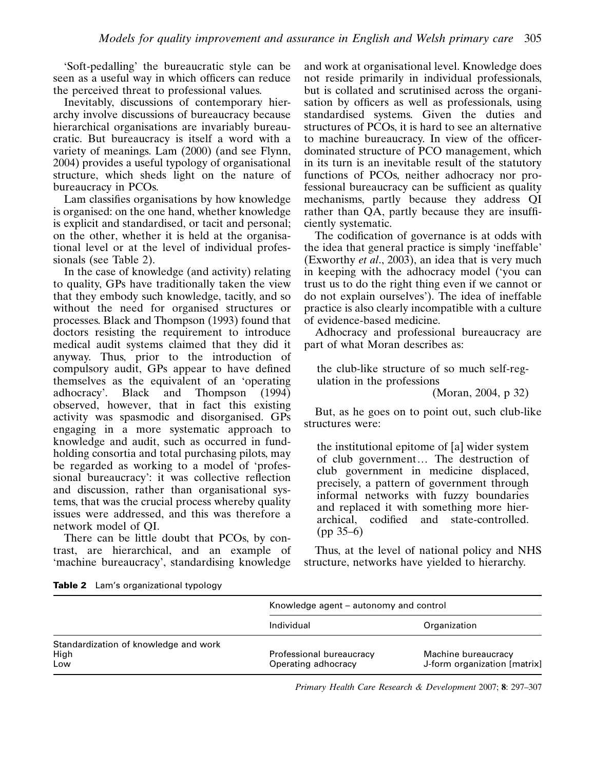'Soft-pedalling' the bureaucratic style can be seen as a useful way in which officers can reduce the perceived threat to professional values.

Inevitably, discussions of contemporary hierarchy involve discussions of bureaucracy because hierarchical organisations are invariably bureaucratic. But bureaucracy is itself a word with a variety of meanings. Lam (2000) (and see Flynn, 2004) provides a useful typology of organisational structure, which sheds light on the nature of bureaucracy in PCOs.

Lam classifies organisations by how knowledge is organised: on the one hand, whether knowledge is explicit and standardised, or tacit and personal; on the other, whether it is held at the organisational level or at the level of individual professionals (see Table 2).

In the case of knowledge (and activity) relating to quality, GPs have traditionally taken the view that they embody such knowledge, tacitly, and so without the need for organised structures or processes. Black and Thompson (1993) found that doctors resisting the requirement to introduce medical audit systems claimed that they did it anyway. Thus, prior to the introduction of compulsory audit, GPs appear to have defined themselves as the equivalent of an 'operating adhocracy'. Black and Thompson (1994) observed, however, that in fact this existing activity was spasmodic and disorganised. GPs engaging in a more systematic approach to knowledge and audit, such as occurred in fundholding consortia and total purchasing pilots, may be regarded as working to a model of 'professional bureaucracy': it was collective reflection and discussion, rather than organisational systems, that was the crucial process whereby quality issues were addressed, and this was therefore a network model of QI.

There can be little doubt that PCOs, by contrast, are hierarchical, and an example of 'machine bureaucracy', standardising knowledge and work at organisational level. Knowledge does not reside primarily in individual professionals, but is collated and scrutinised across the organisation by officers as well as professionals, using standardised systems. Given the duties and structures of PCOs, it is hard to see an alternative to machine bureaucracy. In view of the officerdominated structure of PCO management, which in its turn is an inevitable result of the statutory functions of PCOs, neither adhocracy nor professional bureaucracy can be sufficient as quality mechanisms, partly because they address QI rather than QA, partly because they are insufficiently systematic.

The codification of governance is at odds with the idea that general practice is simply 'ineffable' (Exworthy et al., 2003), an idea that is very much in keeping with the adhocracy model ('you can trust us to do the right thing even if we cannot or do not explain ourselves'). The idea of ineffable practice is also clearly incompatible with a culture of evidence-based medicine.

Adhocracy and professional bureaucracy are part of what Moran describes as:

the club-like structure of so much self-regulation in the professions

(Moran, 2004, p 32)

But, as he goes on to point out, such club-like structures were:

the institutional epitome of [a] wider system of club government... The destruction of club government in medicine displaced, precisely, a pattern of government through informal networks with fuzzy boundaries and replaced it with something more hierarchical, codified and state-controlled. (pp 35–6)

Thus, at the level of national policy and NHS structure, networks have yielded to hierarchy.

|                                       | Knowledge agent – autonomy and control          |                                                     |  |
|---------------------------------------|-------------------------------------------------|-----------------------------------------------------|--|
|                                       | Individual                                      | Organization                                        |  |
| Standardization of knowledge and work |                                                 |                                                     |  |
| High<br>Low                           | Professional bureaucracy<br>Operating adhocracy | Machine bureaucracy<br>J-form organization [matrix] |  |

Table 2 Lam's organizational typology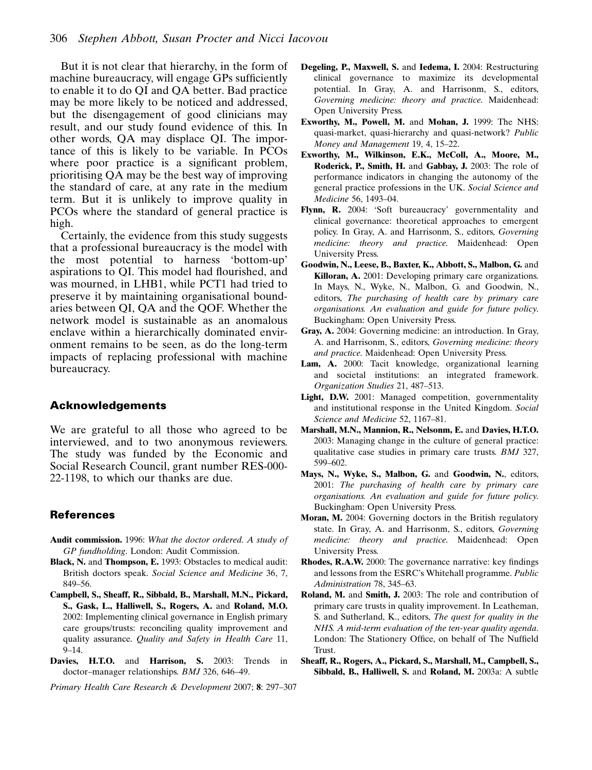But it is not clear that hierarchy, in the form of machine bureaucracy, will engage GPs sufficiently to enable it to do QI and QA better. Bad practice may be more likely to be noticed and addressed, but the disengagement of good clinicians may result, and our study found evidence of this. In other words, QA may displace QI. The importance of this is likely to be variable. In PCOs where poor practice is a significant problem, prioritising QA may be the best way of improving the standard of care, at any rate in the medium term. But it is unlikely to improve quality in PCOs where the standard of general practice is high.

Certainly, the evidence from this study suggests that a professional bureaucracy is the model with the most potential to harness 'bottom-up' aspirations to QI. This model had flourished, and was mourned, in LHB1, while PCT1 had tried to preserve it by maintaining organisational boundaries between QI, QA and the QOF. Whether the network model is sustainable as an anomalous enclave within a hierarchically dominated environment remains to be seen, as do the long-term impacts of replacing professional with machine bureaucracy.

#### Acknowledgements

We are grateful to all those who agreed to be interviewed, and to two anonymous reviewers. The study was funded by the Economic and Social Research Council, grant number RES-000- 22-1198, to which our thanks are due.

#### References

- Audit commission. 1996: What the doctor ordered. A study of GP fundholding. London: Audit Commission.
- Black, N. and Thompson, E. 1993: Obstacles to medical audit: British doctors speak. Social Science and Medicine 36, 7, 849–56.
- Campbell, S., Sheaff, R., Sibbald, B., Marshall, M.N., Pickard, S., Gask, L., Halliwell, S., Rogers, A. and Roland, M.O. 2002: Implementing clinical governance in English primary care groups/trusts: reconciling quality improvement and quality assurance. Quality and Safety in Health Care 11,  $9 - 14$ .
- Davies, H.T.O. and Harrison, S. 2003: Trends in doctor–manager relationships. BMJ 326, 646–49.

- Degeling, P., Maxwell, S. and Iedema, I. 2004: Restructuring clinical governance to maximize its developmental potential. In Gray, A. and Harrisonm, S., editors, Governing medicine: theory and practice. Maidenhead: Open University Press.
- Exworthy, M., Powell, M. and Mohan, J. 1999: The NHS: quasi-market, quasi-hierarchy and quasi-network? Public Money and Management 19, 4, 15–22.
- Exworthy, M., Wilkinson, E.K., McColl, A., Moore, M., Roderick, P., Smith, H. and Gabbay, J. 2003: The role of performance indicators in changing the autonomy of the general practice professions in the UK. Social Science and Medicine 56, 1493–04.
- Flynn, R. 2004: 'Soft bureaucracy' governmentality and clinical governance: theoretical approaches to emergent policy. In Gray, A. and Harrisonm, S., editors, Governing medicine: theory and practice. Maidenhead: Open University Press.
- Goodwin, N., Leese, B., Baxter, K., Abbott, S., Malbon, G. and Killoran, A. 2001: Developing primary care organizations. In Mays, N., Wyke, N., Malbon, G. and Goodwin, N., editors, The purchasing of health care by primary care organisations. An evaluation and guide for future policy. Buckingham: Open University Press.
- Gray, A. 2004: Governing medicine: an introduction. In Gray, A. and Harrisonm, S., editors, Governing medicine: theory and practice. Maidenhead: Open University Press.
- Lam, A. 2000: Tacit knowledge, organizational learning and societal institutions: an integrated framework. Organization Studies 21, 487–513.
- Light, D.W. 2001: Managed competition, governmentality and institutional response in the United Kingdom. Social Science and Medicine 52, 1167–81.
- Marshall, M.N., Mannion, R., Nelsonm, E. and Davies, H.T.O. 2003: Managing change in the culture of general practice: qualitative case studies in primary care trusts. BMJ 327, 599–602.
- Mays, N., Wyke, S., Malbon, G. and Goodwin, N., editors, 2001: The purchasing of health care by primary care organisations. An evaluation and guide for future policy. Buckingham: Open University Press.
- Moran, M. 2004: Governing doctors in the British regulatory state. In Gray, A. and Harrisonm, S., editors, Governing medicine: theory and practice. Maidenhead: Open University Press.
- Rhodes, R.A.W. 2000: The governance narrative: key findings and lessons from the ESRC's Whitehall programme. Public Administration 78, 345–63.
- Roland, M. and Smith, J. 2003: The role and contribution of primary care trusts in quality improvement. In Leatheman, S. and Sutherland, K., editors, The quest for quality in the NHS. A mid-term evaluation of the ten-year quality agenda. London: The Stationery Office, on behalf of The Nuffield Trust.
- Sheaff, R., Rogers, A., Pickard, S., Marshall, M., Campbell, S., Sibbald, B., Halliwell, S. and Roland, M. 2003a: A subtle